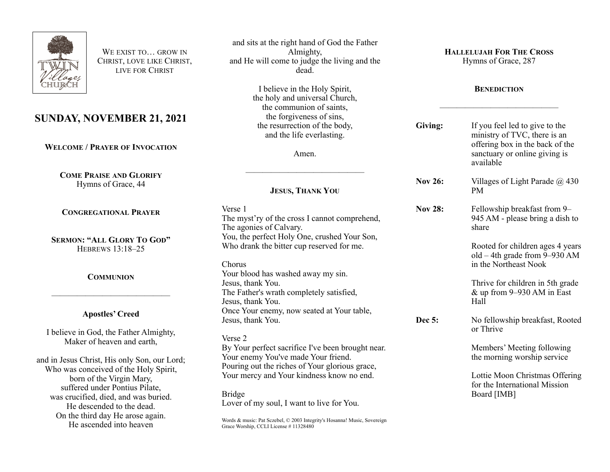

WE EXIST TO **GROW IN** CHRIST, LOVE LIKE CHRIST, LIVE FOR CHRIST

# **SUNDAY, NOVEMBER 21, 2021**

**WELCOME / PRAYER OF INVOCATION**

**COME PRAISE AND GLORIFY** Hymns of Grace, 44

**CONGREGATIONAL PRAYER**

**SERMON: "ALL GLORY TO GOD"** HEBREWS 13:18–25

**COMMUNION**

## **Apostles' Creed**

——————————————

I believe in God, the Father Almighty, Maker of heaven and earth,

and in Jesus Christ, His only Son, our Lord; Who was conceived of the Holy Spirit, born of the Virgin Mary, suffered under Pontius Pilate, was crucified, died, and was buried. He descended to the dead. On the third day He arose again. He ascended into heaven

and sits at the right hand of God the Father Almighty, and He will come to judge the living and the dead.

> I believe in the Holy Spirit, the holy and universal Church, the communion of saints, the forgiveness of sins, the resurrection of the body, and the life everlasting.

> > Amen.

——————————————

## **JESUS, THANK YOU**

Verse 1 The myst'ry of the cross I cannot comprehend, The agonies of Calvary. You, the perfect Holy One, crushed Your Son, Who drank the bitter cup reserved for me.

Chorus

Your blood has washed away my sin. Jesus, thank You. The Father's wrath completely satisfied, Jesus, thank You. Once Your enemy, now seated at Your table, Jesus, thank You.

Verse 2

By Your perfect sacrifice I've been brought near. Your enemy You've made Your friend. Pouring out the riches of Your glorious grace, Your mercy and Your kindness know no end.

Bridge Lover of my soul, I want to live for You.

Words & music: Pat Sczebel, © 2003 Integrity's Hosanna! Music, Sovereign Grace Worship, CCLI License # 11328480

**HALLELUJAH FOR THE CROSS**

Hymns of Grace, 287

#### **BENEDICTION**

——————————————

| Giving:        | If you feel led to give to the<br>ministry of TVC, there is an<br>offering box in the back of the<br>sanctuary or online giving is<br>available |
|----------------|-------------------------------------------------------------------------------------------------------------------------------------------------|
| Nov 26:        | Villages of Light Parade @ 430<br><b>PM</b>                                                                                                     |
| <b>Nov 28:</b> | Fellowship breakfast from 9-<br>945 AM - please bring a dish to<br>share                                                                        |
|                | Rooted for children ages 4 years<br>old $-4$ th grade from 9–930 AM<br>in the Northeast Nook                                                    |
|                | Thrive for children in 5th grade<br>$&$ up from 9–930 AM in East<br>Hall                                                                        |
| <b>Dec 5:</b>  | No fellowship breakfast, Rooted<br>or Thrive                                                                                                    |
|                | Members' Meeting following<br>the morning worship service                                                                                       |
|                | Lottie Moon Christmas Offering<br>for the International Mission<br>Board [IMB]                                                                  |